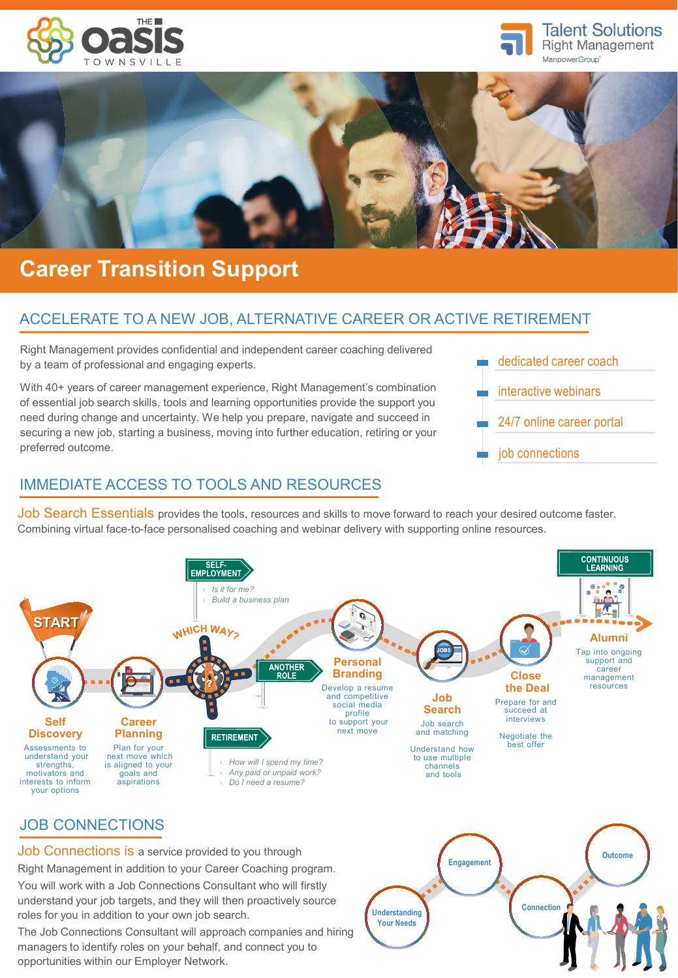





# **Career Transition Support**

# ACCELERATE TO A NEW JOB, ALTERNATIVE CAREER OR ACTIVE RETIREMENT

Right Management provides confidential and independent career coaching delivered by a team of professional and engaging experts.

With 40+ years of career management experience, Right Management's combination of essential job search skills, tools and learning opportunities provide the support you need during change and uncertainty. We help you prepare, navigate and succeed in securing a new job, starting a business, moving into further education, retiring or your preferred outcome.



## IMMEDIATE ACCESS TO TOOLS AND RESOURCES

Job Search Essentials provides the tools, resources and skills to move forward to reach your desired outcome faster. Combining virtual face-to-face personalised coaching and webinar delivery with supporting online resources.



opportunities within our Employer Network.